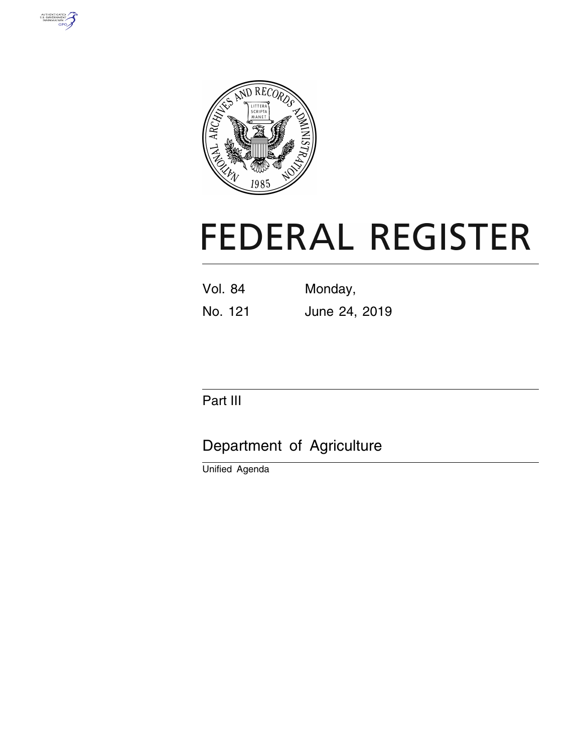



# **FEDERAL REGISTER**

- Vol. 84 Monday,
- No. 121 June 24, 2019

# Part III

# Department of Agriculture

Unified Agenda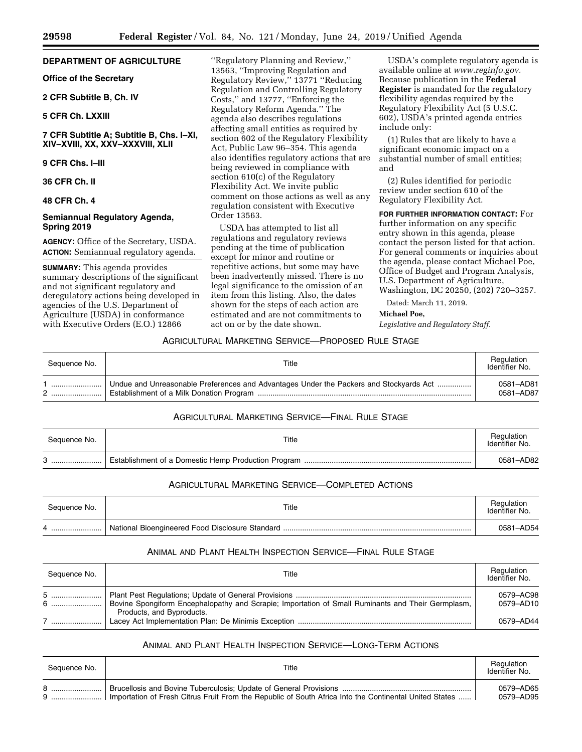# **DEPARTMENT OF AGRICULTURE**

# **Office of the Secretary**

#### **2 CFR Subtitle B, Ch. IV**

#### **5 CFR Ch. LXXIII**

# **7 CFR Subtitle A; Subtitle B, Chs. I–XI, XIV–XVIII, XX, XXV–XXXVIII, XLII**

#### **9 CFR Chs. I–III**

**36 CFR Ch. II** 

#### **48 CFR Ch. 4**

## **Semiannual Regulatory Agenda, Spring 2019**

**AGENCY:** Office of the Secretary, USDA. **ACTION:** Semiannual regulatory agenda.

**SUMMARY:** This agenda provides summary descriptions of the significant and not significant regulatory and deregulatory actions being developed in agencies of the U.S. Department of Agriculture (USDA) in conformance with Executive Orders (E.O.) 12866

''Regulatory Planning and Review,'' 13563, ''Improving Regulation and Regulatory Review,'' 13771 ''Reducing Regulation and Controlling Regulatory Costs,'' and 13777, ''Enforcing the Regulatory Reform Agenda.'' The agenda also describes regulations affecting small entities as required by section 602 of the Regulatory Flexibility Act, Public Law 96–354. This agenda also identifies regulatory actions that are being reviewed in compliance with section 610(c) of the Regulatory Flexibility Act. We invite public comment on those actions as well as any regulation consistent with Executive Order 13563.

USDA has attempted to list all regulations and regulatory reviews pending at the time of publication except for minor and routine or repetitive actions, but some may have been inadvertently missed. There is no legal significance to the omission of an item from this listing. Also, the dates shown for the steps of each action are estimated and are not commitments to act on or by the date shown.

USDA's complete regulatory agenda is available online at *[www.reginfo.gov.](http://www.reginfo.gov)*  Because publication in the **Federal Register** is mandated for the regulatory flexibility agendas required by the Regulatory Flexibility Act (5 U.S.C. 602), USDA's printed agenda entries include only:

(1) Rules that are likely to have a significant economic impact on a substantial number of small entities; and

(2) Rules identified for periodic review under section 610 of the Regulatory Flexibility Act.

**FOR FURTHER INFORMATION CONTACT:** For further information on any specific entry shown in this agenda, please contact the person listed for that action. For general comments or inquiries about the agenda, please contact Michael Poe, Office of Budget and Program Analysis, U.S. Department of Agriculture, Washington, DC 20250, (202) 720–3257.

Dated: March 11, 2019.

#### **Michael Poe,**

*Legislative and Regulatory Staff.* 

#### AGRICULTURAL MARKETING SERVICE—PROPOSED RULE STAGE

| Sequence No. | Title                                                                                  | Regulation<br>Identifier No. |
|--------------|----------------------------------------------------------------------------------------|------------------------------|
|              | Undue and Unreasonable Preferences and Advantages Under the Packers and Stockyards Act | 0581-AD81<br>0581-AD87       |

# AGRICULTURAL MARKETING SERVICE—FINAL RULE STAGE

| Sequence No. | Title | Regulation<br>Identifier No. |
|--------------|-------|------------------------------|
|              |       | 0581-AD82                    |

# AGRICULTURAL MARKETING SERVICE—COMPLETED ACTIONS

| Sequence No. | Title | Regulation<br>Identifier No. |
|--------------|-------|------------------------------|
|              |       | 0581-AD54                    |

# ANIMAL AND PLANT HEALTH INSPECTION SERVICE—FINAL RULE STAGE

| Sequence No. | Title                                                                                                                          | Regulation<br>Identifier No. |
|--------------|--------------------------------------------------------------------------------------------------------------------------------|------------------------------|
|              | Bovine Spongiform Encephalopathy and Scrapie; Importation of Small Ruminants and Their Germplasm,<br>Products, and Byproducts. | 0579-AC98<br>0579-AD10       |
|              |                                                                                                                                | 0579-AD44                    |

#### ANIMAL AND PLANT HEALTH INSPECTION SERVICE—LONG-TERM ACTIONS

| Sequence No. | Title                                                                                                  | Regulation<br>Identifier No. |
|--------------|--------------------------------------------------------------------------------------------------------|------------------------------|
|              | Importation of Fresh Citrus Fruit From the Republic of South Africa Into the Continental United States | 0579–AD65<br>0579–AD95       |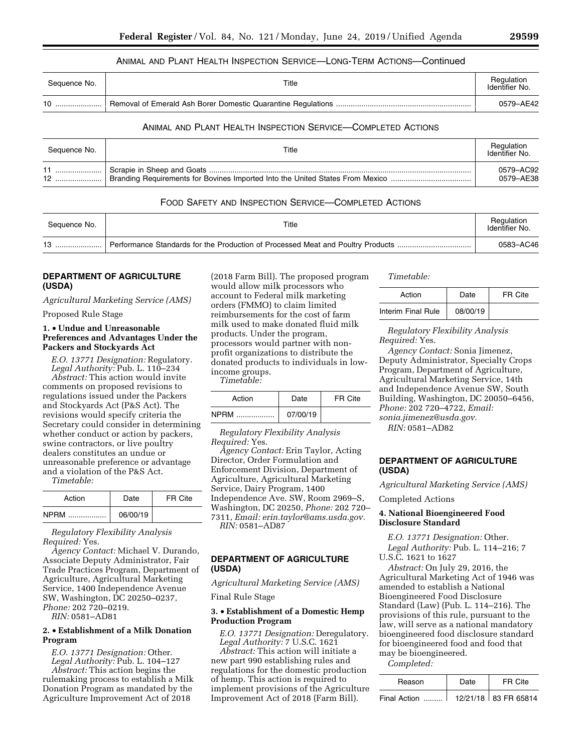#### ANIMAL AND PLANT HEALTH INSPECTION SERVICE—LONG-TERM ACTIONS—Continued

| Sequence No. | Title | Regulation<br>Identifier No. |
|--------------|-------|------------------------------|
| 10           |       | 0579-AE42                    |

#### ANIMAL AND PLANT HEALTH INSPECTION SERVICE—COMPLETED ACTIONS

| Sequence No. | Title                                                                         | Regulation<br>Identifier No. |
|--------------|-------------------------------------------------------------------------------|------------------------------|
| 12           | Branding Requirements for Bovines Imported Into the United States From Mexico | 0579-AC92<br>0579-AE38       |

#### FOOD SAFETY AND INSPECTION SERVICE—COMPLETED ACTIONS

| Seauence No. | Title                                                                           | Regulation<br>Identifier No. |
|--------------|---------------------------------------------------------------------------------|------------------------------|
| 10           | Performance Standards for the Production of Processed Meat and Poultry Products | 0583-AC46                    |

## **DEPARTMENT OF AGRICULTURE (USDA)**

*Agricultural Marketing Service (AMS)*  Proposed Rule Stage

#### **1.** • **Undue and Unreasonable Preferences and Advantages Under the Packers and Stockyards Act**

*E.O. 13771 Designation:* Regulatory. *Legal Authority:* Pub. L. 110–234

*Abstract:* This action would invite comments on proposed revisions to regulations issued under the Packers and Stockyards Act (P&S Act). The revisions would specify criteria the Secretary could consider in determining whether conduct or action by packers, swine contractors, or live poultry dealers constitutes an undue or unreasonable preference or advantage and a violation of the P&S Act.

*Timetable:* 

| Action      | Date     | FR Cite |
|-------------|----------|---------|
| <b>NPRM</b> | 06/00/19 |         |

*Regulatory Flexibility Analysis Required:* Yes.

*Agency Contact:* Michael V. Durando, Associate Deputy Administrator, Fair Trade Practices Program, Department of Agriculture, Agricultural Marketing Service, 1400 Independence Avenue SW, Washington, DC 20250–0237, *Phone:* 202 720–0219. *RIN:* 0581–AD81

#### **2.** • **Establishment of a Milk Donation Program**

*E.O. 13771 Designation:* Other. *Legal Authority:* Pub. L. 104–127 *Abstract:* This action begins the rulemaking process to establish a Milk Donation Program as mandated by the Agriculture Improvement Act of 2018

(2018 Farm Bill). The proposed program would allow milk processors who account to Federal milk marketing orders (FMMO) to claim limited reimbursements for the cost of farm milk used to make donated fluid milk products. Under the program, processors would partner with nonprofit organizations to distribute the donated products to individuals in lowincome groups.

*Timetable:* 

| Action | Date     | FR Cite |
|--------|----------|---------|
| NPRM   | 07/00/19 |         |

*Regulatory Flexibility Analysis Required:* Yes.

*Agency Contact:* Erin Taylor, Acting Director, Order Formulation and Enforcement Division, Department of Agriculture, Agricultural Marketing Service, Dairy Program, 1400 Independence Ave. SW, Room 2969–S, Washington, DC 20250, *Phone:* 202 720– 7311, *Email: [erin.taylor@ams.usda.gov.](mailto:erin.taylor@ams.usda.gov) RIN:* 0581–AD87

## **DEPARTMENT OF AGRICULTURE (USDA)**

*Agricultural Marketing Service (AMS)* 

Final Rule Stage

#### **3.** • **Establishment of a Domestic Hemp Production Program**

*E.O. 13771 Designation:* Deregulatory. *Legal Authority:* 7 U.S.C. 1621

*Abstract:* This action will initiate a new part 990 establishing rules and regulations for the domestic production of hemp. This action is required to implement provisions of the Agriculture Improvement Act of 2018 (Farm Bill).

*Timetable:* 

| Action             | Date     | FR Cite |
|--------------------|----------|---------|
| Interim Final Rule | 08/00/19 |         |

*Regulatory Flexibility Analysis Required:* Yes.

*Agency Contact:* Sonia Jimenez, Deputy Administrator, Specialty Crops Program, Department of Agriculture, Agricultural Marketing Service, 14th and Independence Avenue SW, South Building, Washington, DC 20050–6456, *Phone:* 202 720–4722, *Email: [sonia.jimenez@usda.gov.](mailto:sonia.jimenez@usda.gov)* 

*RIN:* 0581–AD82

#### **DEPARTMENT OF AGRICULTURE (USDA)**

*Agricultural Marketing Service (AMS)* 

Completed Actions

#### **4. National Bioengineered Food Disclosure Standard**

*E.O. 13771 Designation:* Other. *Legal Authority:* Pub. L. 114–216; 7 U.S.C. 1621 to 1627

*Abstract:* On July 29, 2016, the Agricultural Marketing Act of 1946 was amended to establish a National Bioengineered Food Disclosure Standard (Law) (Pub. L. 114–216). The provisions of this rule, pursuant to the law, will serve as a national mandatory bioengineered food disclosure standard for bioengineered food and food that may be bioengineered.

*Completed:* 

| Reason       | Date | FR Cite                |
|--------------|------|------------------------|
| Final Action |      | 12/21/18   83 FR 65814 |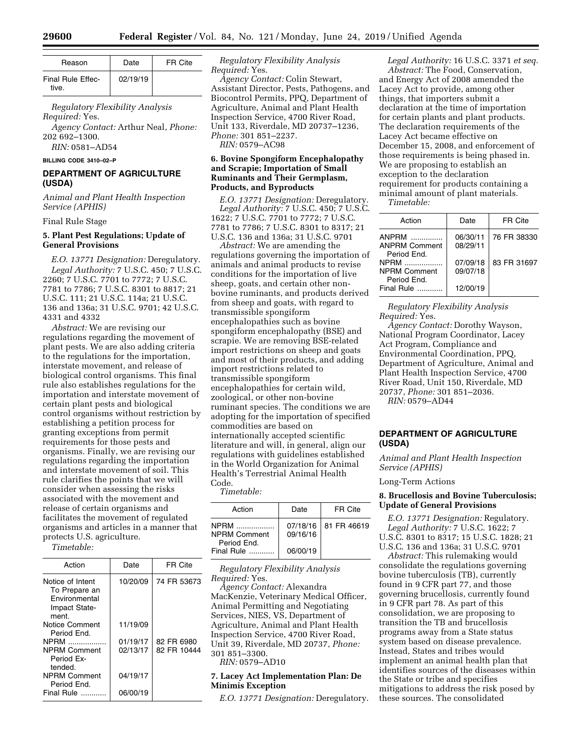| Reason                     | Date     | FR Cite |
|----------------------------|----------|---------|
| Final Rule Effec-<br>tive. | 02/19/19 |         |

*Regulatory Flexibility Analysis Required:* Yes.

*Agency Contact:* Arthur Neal, *Phone:*  202 692–1300.

*RIN:* 0581–AD54

#### **BILLING CODE 3410–02–P**

#### **DEPARTMENT OF AGRICULTURE (USDA)**

*Animal and Plant Health Inspection Service (APHIS)* 

Final Rule Stage

#### **5. Plant Pest Regulations; Update of General Provisions**

*E.O. 13771 Designation:* Deregulatory. *Legal Authority:* 7 U.S.C. 450; 7 U.S.C. 2260; 7 U.S.C. 7701 to 7772; 7 U.S.C. 7781 to 7786; 7 U.S.C. 8301 to 8817; 21 U.S.C. 111; 21 U.S.C. 114a; 21 U.S.C. 136 and 136a; 31 U.S.C. 9701; 42 U.S.C. 4331 and 4332

*Abstract:* We are revising our regulations regarding the movement of plant pests. We are also adding criteria to the regulations for the importation, interstate movement, and release of biological control organisms. This final rule also establishes regulations for the importation and interstate movement of certain plant pests and biological control organisms without restriction by establishing a petition process for granting exceptions from permit requirements for those pests and organisms. Finally, we are revising our regulations regarding the importation and interstate movement of soil. This rule clarifies the points that we will consider when assessing the risks associated with the movement and release of certain organisms and facilitates the movement of regulated organisms and articles in a manner that protects U.S. agriculture.

*Timetable:* 

| Action                                                                              | Date     | FR Cite     |
|-------------------------------------------------------------------------------------|----------|-------------|
| Notice of Intent<br>To Prepare an<br><b>Environmental</b><br>Impact State-<br>ment. | 10/20/09 | 74 FR 53673 |
| Notice Comment<br>Period End.                                                       | 11/19/09 |             |
| <b>NPRM</b>                                                                         | 01/19/17 | 82 FR 6980  |
| NPRM Comment<br>Period Ex-<br>tended.                                               | 02/13/17 | 82 FR 10444 |
| <b>NPRM Comment</b><br>Period End.                                                  | 04/19/17 |             |
| Final Rule                                                                          | 06/00/19 |             |

*Regulatory Flexibility Analysis Required:* Yes.

*Agency Contact:* Colin Stewart, Assistant Director, Pests, Pathogens, and Biocontrol Permits, PPQ, Department of Agriculture, Animal and Plant Health Inspection Service, 4700 River Road, Unit 133, Riverdale, MD 20737–1236, *Phone:* 301 851–2237. *RIN:* 0579–AC98

#### **6. Bovine Spongiform Encephalopathy and Scrapie; Importation of Small Ruminants and Their Germplasm, Products, and Byproducts**

*E.O. 13771 Designation:* Deregulatory. *Legal Authority:* 7 U.S.C. 450; 7 U.S.C. 1622; 7 U.S.C. 7701 to 7772; 7 U.S.C. 7781 to 7786; 7 U.S.C. 8301 to 8317; 21 U.S.C. 136 and 136a; 31 U.S.C. 9701

*Abstract:* We are amending the regulations governing the importation of animals and animal products to revise conditions for the importation of live sheep, goats, and certain other nonbovine ruminants, and products derived from sheep and goats, with regard to transmissible spongiform encephalopathies such as bovine spongiform encephalopathy (BSE) and scrapie. We are removing BSE-related import restrictions on sheep and goats and most of their products, and adding import restrictions related to transmissible spongiform encephalopathies for certain wild, zoological, or other non-bovine ruminant species. The conditions we are adopting for the importation of specified commodities are based on internationally accepted scientific literature and will, in general, align our regulations with guidelines established in the World Organization for Animal Health's Terrestrial Animal Health Code.

*Timetable:* 

| Action                                     | Date     | FR Cite                |
|--------------------------------------------|----------|------------------------|
| NPRM<br><b>NPRM Comment</b><br>Period End. | 09/16/16 | 07/18/16   81 FR 46619 |
| Final Rule                                 | 06/00/19 |                        |

*Regulatory Flexibility Analysis Required:* Yes.

*Agency Contact:* Alexandra MacKenzie, Veterinary Medical Officer, Animal Permitting and Negotiating Services, NIES, VS, Department of Agriculture, Animal and Plant Health Inspection Service, 4700 River Road, Unit 39, Riverdale, MD 20737, *Phone:*  301 851–3300.

*RIN:* 0579–AD10

#### **7. Lacey Act Implementation Plan: De Minimis Exception**

*E.O. 13771 Designation:* Deregulatory.

*Legal Authority:* 16 U.S.C. 3371 *et seq. Abstract:* The Food, Conservation, and Energy Act of 2008 amended the Lacey Act to provide, among other things, that importers submit a declaration at the time of importation for certain plants and plant products. The declaration requirements of the Lacey Act became effective on December 15, 2008, and enforcement of those requirements is being phased in. We are proposing to establish an exception to the declaration requirement for products containing a minimal amount of plant materials.

*Timetable:* 

| Action                                                       | Date                 | FR Cite     |
|--------------------------------------------------------------|----------------------|-------------|
| ANPRM<br><b>ANPRM Comment</b><br>Period Fnd.                 | 06/30/11<br>08/29/11 | 76 FR 38330 |
| NPRM <b>New Struck</b><br><b>NPRM Comment</b><br>Period Fnd. | 07/09/18<br>09/07/18 | 83 FR 31697 |
| Final Rule                                                   | 12/00/19             |             |

*Regulatory Flexibility Analysis Required:* Yes.

*Agency Contact:* Dorothy Wayson, National Program Coordinator, Lacey Act Program, Compliance and Environmental Coordination, PPQ, Department of Agriculture, Animal and Plant Health Inspection Service, 4700 River Road, Unit 150, Riverdale, MD 20737, *Phone:* 301 851–2036. *RIN:* 0579–AD44

# **DEPARTMENT OF AGRICULTURE (USDA)**

*Animal and Plant Health Inspection Service (APHIS)* 

Long-Term Actions

#### **8. Brucellosis and Bovine Tuberculosis; Update of General Provisions**

*E.O. 13771 Designation:* Regulatory. *Legal Authority:* 7 U.S.C. 1622; 7 U.S.C. 8301 to 8317; 15 U.S.C. 1828; 21 U.S.C. 136 and 136a; 31 U.S.C. 9701

*Abstract:* This rulemaking would consolidate the regulations governing bovine tuberculosis (TB), currently found in 9 CFR part 77, and those governing brucellosis, currently found in 9 CFR part 78. As part of this consolidation, we are proposing to transition the TB and brucellosis programs away from a State status system based on disease prevalence. Instead, States and tribes would implement an animal health plan that identifies sources of the diseases within the State or tribe and specifies mitigations to address the risk posed by these sources. The consolidated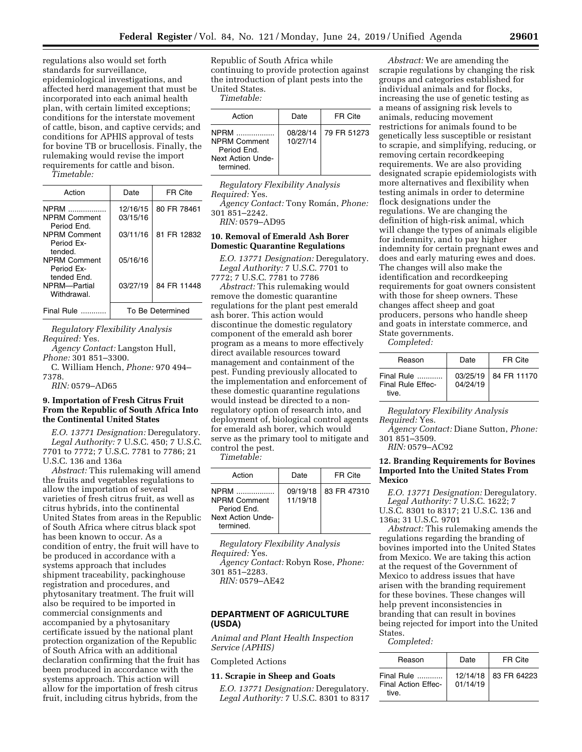regulations also would set forth standards for surveillance, epidemiological investigations, and affected herd management that must be incorporated into each animal health plan, with certain limited exceptions; conditions for the interstate movement of cattle, bison, and captive cervids; and conditions for APHIS approval of tests for bovine TB or brucellosis. Finally, the rulemaking would revise the import requirements for cattle and bison.

*Timetable:* 

| Action                                            | Date                 | FR Cite          |
|---------------------------------------------------|----------------------|------------------|
| <b>NPRM</b><br><b>NPRM Comment</b><br>Period Fnd. | 12/16/15<br>03/15/16 | 80 FR 78461      |
| <b>NPRM Comment</b><br>Period Fx-<br>tended.      | 03/11/16             | 81 FR 12832      |
| <b>NPRM Comment</b><br>Period Fx-<br>tended Fnd.  | 05/16/16             |                  |
| NPRM-Partial<br>Withdrawal                        | 03/27/19             | 84 FR 11448      |
| Final Rule                                        |                      | To Be Determined |

*Regulatory Flexibility Analysis Required:* Yes.

*Agency Contact:* Langston Hull, *Phone:* 301 851–3300.

C. William Hench, *Phone:* 970 494– 7378.

*RIN:* 0579–AD65

#### **9. Importation of Fresh Citrus Fruit From the Republic of South Africa Into the Continental United States**

*E.O. 13771 Designation:* Deregulatory. *Legal Authority:* 7 U.S.C. 450; 7 U.S.C. 7701 to 7772; 7 U.S.C. 7781 to 7786; 21 U.S.C. 136 and 136a

*Abstract:* This rulemaking will amend the fruits and vegetables regulations to allow the importation of several varieties of fresh citrus fruit, as well as citrus hybrids, into the continental United States from areas in the Republic of South Africa where citrus black spot has been known to occur. As a condition of entry, the fruit will have to be produced in accordance with a systems approach that includes shipment traceability, packinghouse registration and procedures, and phytosanitary treatment. The fruit will also be required to be imported in commercial consignments and accompanied by a phytosanitary certificate issued by the national plant protection organization of the Republic of South Africa with an additional declaration confirming that the fruit has been produced in accordance with the systems approach. This action will allow for the importation of fresh citrus fruit, including citrus hybrids, from the

Republic of South Africa while continuing to provide protection against the introduction of plant pests into the United States.

*Timetable:* 

| Action                                                                       | Date                 | FR Cite     |
|------------------------------------------------------------------------------|----------------------|-------------|
| NPRM<br><b>NPRM Comment</b><br>Period Fnd.<br>Next Action Unde-<br>termined. | 08/28/14<br>10/27/14 | 79 FR 51273 |

*Regulatory Flexibility Analysis Required:* Yes.

*Agency Contact:* Tony Roma´n, *Phone:*  301 851–2242.

*RIN:* 0579–AD95

#### **10. Removal of Emerald Ash Borer Domestic Quarantine Regulations**

*E.O. 13771 Designation:* Deregulatory. *Legal Authority:* 7 U.S.C. 7701 to 7772; 7 U.S.C. 7781 to 7786

*Abstract:* This rulemaking would remove the domestic quarantine regulations for the plant pest emerald ash borer. This action would discontinue the domestic regulatory component of the emerald ash borer program as a means to more effectively direct available resources toward management and containment of the pest. Funding previously allocated to the implementation and enforcement of these domestic quarantine regulations would instead be directed to a nonregulatory option of research into, and deployment of, biological control agents for emerald ash borer, which would serve as the primary tool to mitigate and control the pest.

*Timetable:* 

| Action                                                                             | Date                 | FR Cite     |
|------------------------------------------------------------------------------------|----------------------|-------------|
| <b>NPRM</b><br><b>NPRM Comment</b><br>Period Fnd<br>Next Action Unde-<br>termined. | 09/19/18<br>11/19/18 | 83 FR 47310 |

*Regulatory Flexibility Analysis Required:* Yes.

*Agency Contact:* Robyn Rose, *Phone:*  301 851–2283.

*RIN:* 0579–AE42

#### **DEPARTMENT OF AGRICULTURE (USDA)**

*Animal and Plant Health Inspection Service (APHIS)* 

Completed Actions

**11. Scrapie in Sheep and Goats** 

*E.O. 13771 Designation:* Deregulatory. *Legal Authority:* 7 U.S.C. 8301 to 8317

*Abstract:* We are amending the scrapie regulations by changing the risk groups and categories established for individual animals and for flocks, increasing the use of genetic testing as a means of assigning risk levels to animals, reducing movement restrictions for animals found to be genetically less susceptible or resistant to scrapie, and simplifying, reducing, or removing certain recordkeeping requirements. We are also providing designated scrapie epidemiologists with more alternatives and flexibility when testing animals in order to determine flock designations under the regulations. We are changing the definition of high-risk animal, which will change the types of animals eligible for indemnity, and to pay higher indemnity for certain pregnant ewes and does and early maturing ewes and does. The changes will also make the identification and recordkeeping requirements for goat owners consistent with those for sheep owners. These changes affect sheep and goat producers, persons who handle sheep and goats in interstate commerce, and State governments.

*Completed:* 

| Reason                                          | Date     | FR Cite                |
|-------------------------------------------------|----------|------------------------|
| Final Rule<br><b>Final Rule Effec-</b><br>tive. | 04/24/19 | 03/25/19   84 FR 11170 |

*Regulatory Flexibility Analysis Required:* Yes.

*Agency Contact:* Diane Sutton, *Phone:*  301 851–3509.

*RIN:* 0579–AC92

#### **12. Branding Requirements for Bovines Imported Into the United States From Mexico**

*E.O. 13771 Designation:* Deregulatory. *Legal Authority:* 7 U.S.C. 1622; 7 U.S.C. 8301 to 8317; 21 U.S.C. 136 and 136a; 31 U.S.C. 9701

*Abstract:* This rulemaking amends the regulations regarding the branding of bovines imported into the United States from Mexico. We are taking this action at the request of the Government of Mexico to address issues that have arisen with the branding requirement for these bovines. These changes will help prevent inconsistencies in branding that can result in bovines being rejected for import into the United States.

*Completed:* 

| Reason                                     | Date     | FR Cite                |
|--------------------------------------------|----------|------------------------|
| Final Rule<br>Final Action Effec-<br>tive. | 01/14/19 | 12/14/18   83 FR 64223 |